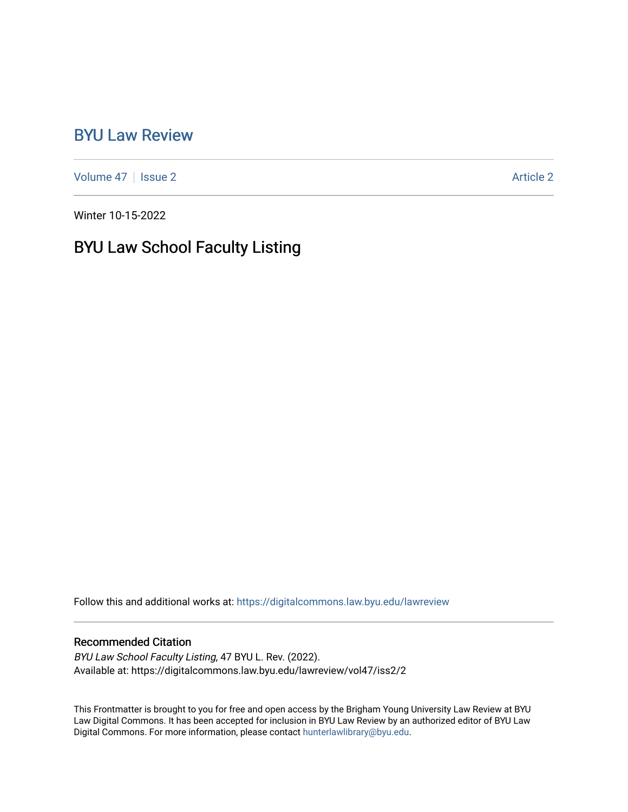## [BYU Law Review](https://digitalcommons.law.byu.edu/lawreview)

[Volume 47](https://digitalcommons.law.byu.edu/lawreview/vol47) | [Issue 2](https://digitalcommons.law.byu.edu/lawreview/vol47/iss2) Article 2

Winter 10-15-2022

## BYU Law School Faculty Listing

Follow this and additional works at: [https://digitalcommons.law.byu.edu/lawreview](https://digitalcommons.law.byu.edu/lawreview?utm_source=digitalcommons.law.byu.edu%2Flawreview%2Fvol47%2Fiss2%2F2&utm_medium=PDF&utm_campaign=PDFCoverPages)

### Recommended Citation

BYU Law School Faculty Listing, 47 BYU L. Rev. (2022). Available at: https://digitalcommons.law.byu.edu/lawreview/vol47/iss2/2

This Frontmatter is brought to you for free and open access by the Brigham Young University Law Review at BYU Law Digital Commons. It has been accepted for inclusion in BYU Law Review by an authorized editor of BYU Law Digital Commons. For more information, please contact [hunterlawlibrary@byu.edu.](mailto:hunterlawlibrary@byu.edu)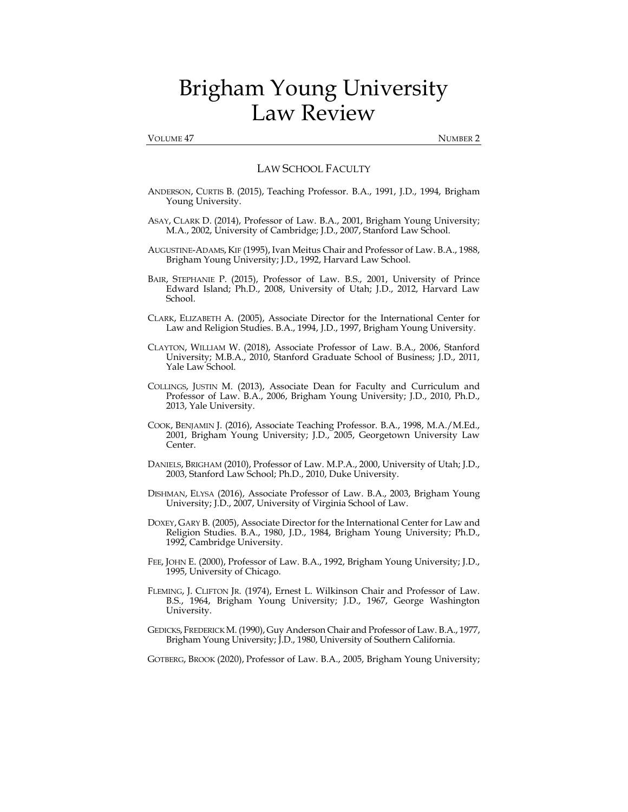# Brigham Young University Law Review

#### VOLUME 47 NUMBER 2

### LAW SCHOOL FACULTY

- ANDERSON, CURTIS B. (2015), Teaching Professor. B.A., 1991, J.D., 1994, Brigham Young University.
- ASAY, CLARK D. (2014), Professor of Law. B.A., 2001, Brigham Young University; M.A., 2002, University of Cambridge; J.D., 2007, Stanford Law School.
- AUGUSTINE-ADAMS, KIF (1995), Ivan Meitus Chair and Professor of Law. B.A., 1988, Brigham Young University; J.D., 1992, Harvard Law School.
- BAIR, STEPHANIE P. (2015), Professor of Law. B.S., 2001, University of Prince Edward Island; Ph.D., 2008, University of Utah; J.D., 2012, Harvard Law School.
- CLARK, ELIZABETH A. (2005), Associate Director for the International Center for Law and Religion Studies. B.A., 1994, J.D., 1997, Brigham Young University.
- CLAYTON, WILLIAM W. (2018), Associate Professor of Law. B.A., 2006, Stanford University; M.B.A., 2010, Stanford Graduate School of Business; J.D., 2011, Yale Law School.
- COLLINGS, JUSTIN M. (2013), Associate Dean for Faculty and Curriculum and Professor of Law. B.A., 2006, Brigham Young University; J.D., 2010, Ph.D., 2013, Yale University.
- COOK, BENJAMIN J. (2016), Associate Teaching Professor. B.A., 1998, M.A./M.Ed., 2001, Brigham Young University; J.D., 2005, Georgetown University Law Center.
- DANIELS, BRIGHAM (2010), Professor of Law. M.P.A., 2000, University of Utah; J.D., 2003, Stanford Law School; Ph.D., 2010, Duke University.
- DISHMAN, ELYSA (2016), Associate Professor of Law. B.A., 2003, Brigham Young University; J.D., 2007, University of Virginia School of Law.
- DOXEY, GARY B. (2005), Associate Director for the International Center for Law and Religion Studies. B.A., 1980, J.D., 1984, Brigham Young University; Ph.D., 1992, Cambridge University.
- FEE, JOHN E. (2000), Professor of Law. B.A., 1992, Brigham Young University; J.D., 1995, University of Chicago.
- FLEMING, J. CLIFTON JR. (1974), Ernest L. Wilkinson Chair and Professor of Law. B.S., 1964, Brigham Young University; J.D., 1967, George Washington University.
- GEDICKS, FREDERICK M. (1990), Guy Anderson Chair and Professor of Law. B.A., 1977, Brigham Young University; J.D., 1980, University of Southern California.

GOTBERG, BROOK (2020), Professor of Law. B.A., 2005, Brigham Young University;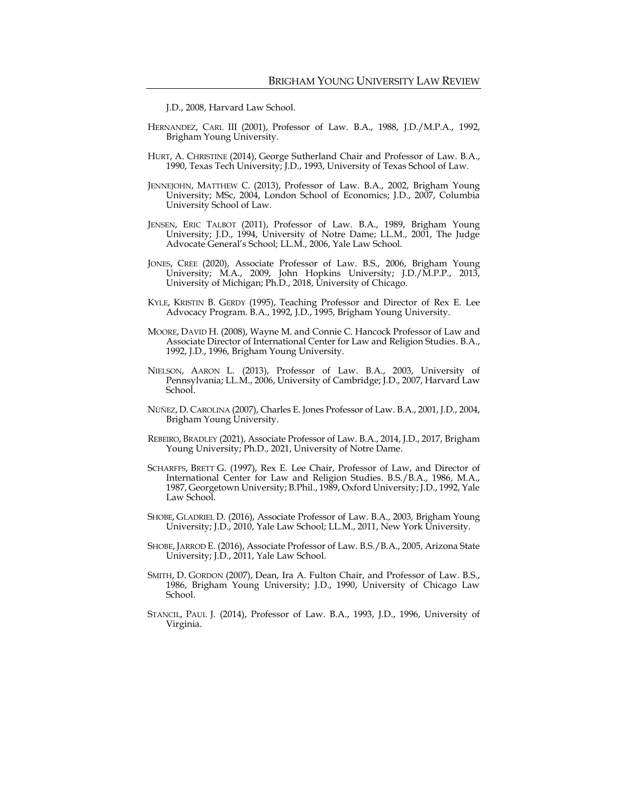J.D., 2008, Harvard Law School.

- HERNANDEZ, CARL III (2001), Professor of Law. B.A., 1988, J.D./M.P.A., 1992, Brigham Young University.
- HURT, A. CHRISTINE (2014), George Sutherland Chair and Professor of Law. B.A., 1990, Texas Tech University; J.D., 1993, University of Texas School of Law.
- JENNEJOHN, MATTHEW C. (2013), Professor of Law. B.A., 2002, Brigham Young University; MSc, 2004, London School of Economics; J.D., 2007, Columbia University School of Law.
- JENSEN, ERIC TALBOT (2011), Professor of Law. B.A., 1989, Brigham Young University; J.D., 1994, University of Notre Dame; LL.M., 2001, The Judge Advocate General's School; LL.M., 2006, Yale Law School.
- JONES, CREE (2020), Associate Professor of Law. B.S., 2006, Brigham Young University; M.A., 2009, John Hopkins University; J.D./M.P.P., 2013, University of Michigan; Ph.D., 2018, University of Chicago.
- KYLE, KRISTIN B. GERDY (1995), Teaching Professor and Director of Rex E. Lee Advocacy Program. B.A., 1992, J.D., 1995, Brigham Young University.
- MOORE, DAVID H. (2008), Wayne M. and Connie C. Hancock Professor of Law and Associate Director of International Center for Law and Religion Studies. B.A., 1992, J.D., 1996, Brigham Young University.
- NIELSON, AARON L. (2013), Professor of Law. B.A., 2003, University of Pennsylvania; LL.M., 2006, University of Cambridge; J.D., 2007, Harvard Law School.
- NÚÑEZ, D. CAROLINA (2007), Charles E. Jones Professor of Law. B.A., 2001, J.D., 2004, Brigham Young University.
- REBEIRO, BRADLEY (2021), Associate Professor of Law. B.A., 2014, J.D., 2017, Brigham Young University; Ph.D., 2021, University of Notre Dame.
- SCHARFFS, BRETT G. (1997), Rex E. Lee Chair, Professor of Law, and Director of International Center for Law and Religion Studies. B.S./B.A., 1986, M.A., 1987, Georgetown University; B.Phil., 1989, Oxford University; J.D., 1992, Yale Law School.
- SHOBE, GLADRIEL D. (2016), Associate Professor of Law. B.A., 2003, Brigham Young University; J.D., 2010, Yale Law School; LL.M., 2011, New York University.
- SHOBE, JARROD E. (2016), Associate Professor of Law. B.S./B.A., 2005, Arizona State University; J.D., 2011, Yale Law School.
- SMITH, D. GORDON (2007), Dean, Ira A. Fulton Chair, and Professor of Law. B.S., 1986, Brigham Young University; J.D., 1990, University of Chicago Law School.
- STANCIL, PAUL J. (2014), Professor of Law. B.A., 1993, J.D., 1996, University of Virginia.